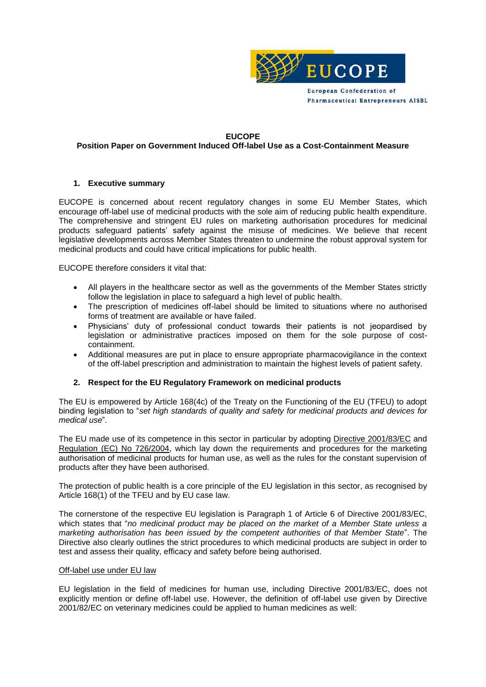

#### **EUCOPE**

# **Position Paper on Government Induced Off-label Use as a Cost-Containment Measure**

### **1. Executive summary**

EUCOPE is concerned about recent regulatory changes in some EU Member States, which encourage off-label use of medicinal products with the sole aim of reducing public health expenditure. The comprehensive and stringent EU rules on marketing authorisation procedures for medicinal products safeguard patients' safety against the misuse of medicines. We believe that recent legislative developments across Member States threaten to undermine the robust approval system for medicinal products and could have critical implications for public health.

EUCOPE therefore considers it vital that:

- All players in the healthcare sector as well as the governments of the Member States strictly follow the legislation in place to safeguard a high level of public health.
- The prescription of medicines off-label should be limited to situations where no authorised forms of treatment are available or have failed.
- Physicians' duty of professional conduct towards their patients is not jeopardised by legislation or administrative practices imposed on them for the sole purpose of costcontainment.
- Additional measures are put in place to ensure appropriate pharmacovigilance in the context of the off-label prescription and administration to maintain the highest levels of patient safety.

## **2. Respect for the EU Regulatory Framework on medicinal products**

The EU is empowered by Article 168(4c) of the Treaty on the Functioning of the EU (TFEU) to adopt binding legislation to "*set high standards of quality and safety for medicinal products and devices for medical use*".

The EU made use of its competence in this sector in particular by adopting [Directive 2001/83/EC](http://ec.europa.eu/health/files/eudralex/vol-1/dir_2001_83_consol_2012/dir_2001_83_consol_2012_en.pdf) and [Regulation \(EC\) No 726/2004,](http://eur-lex.europa.eu/LexUriServ/LexUriServ.do?uri=OJ:L:2004:136:0001:0033:en:PDF) which lay down the requirements and procedures for the marketing authorisation of medicinal products for human use, as well as the rules for the constant supervision of products after they have been authorised.

The protection of public health is a core principle of the EU legislation in this sector, as recognised by Article 168(1) of the TFEU and by EU case law.

The cornerstone of the respective EU legislation is Paragraph 1 of Article 6 of Directive 2001/83/EC, which states that "*no medicinal product may be placed on the market of a Member State unless a marketing authorisation has been issued by the competent authorities of that Member State*". The Directive also clearly outlines the strict procedures to which medicinal products are subject in order to test and assess their quality, efficacy and safety before being authorised.

### Off-label use under EU law

EU legislation in the field of medicines for human use, including Directive 2001/83/EC, does not explicitly mention or define off-label use. However, the definition of off-label use given by Directive 2001/82/EC on veterinary medicines could be applied to human medicines as well: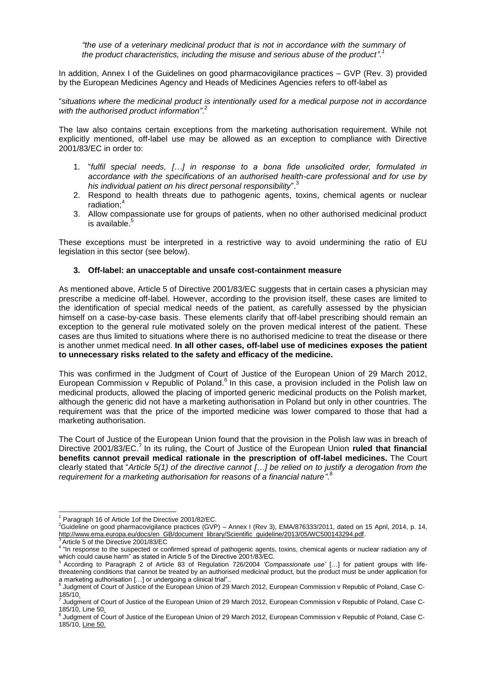*"the use of a veterinary medicinal product that is not in accordance with the summary of the product characteristics, including the misuse and serious abuse of the product".<sup>1</sup>*

In addition, Annex I of the Guidelines on good pharmacovigilance practices – GVP (Rev. 3) provided by the European Medicines Agency and Heads of Medicines Agencies refers to off-label as

"*situations where the medicinal product is intentionally used for a medical purpose not in accordance with the authorised product information"*. 2

The law also contains certain exceptions from the marketing authorisation requirement. While not explicitly mentioned, off-label use may be allowed as an exception to compliance with Directive 2001/83/EC in order to:

- 1. "*fulfil special needs, […] in response to a bona fide unsolicited order, formulated in accordance with the specifications of an authorised health-care professional and for use by his individual patient on his direct personal responsibility*". 3
- 2. Respond to health threats due to pathogenic agents, toxins, chemical agents or nuclear radiation:<sup>4</sup>
- 3. Allow compassionate use for groups of patients, when no other authorised medicinal product is available.<sup>5</sup>

These exceptions must be interpreted in a restrictive way to avoid undermining the ratio of EU legislation in this sector (see below).

### **3. Off-label: an unacceptable and unsafe cost-containment measure**

As mentioned above, Article 5 of Directive 2001/83/EC suggests that in certain cases a physician may prescribe a medicine off-label. However, according to the provision itself, these cases are limited to the identification of special medical needs of the patient, as carefully assessed by the physician himself on a case-by-case basis. These elements clarify that off-label prescribing should remain an exception to the general rule motivated solely on the proven medical interest of the patient. These cases are thus limited to situations where there is no authorised medicine to treat the disease or there is another unmet medical need. **In all other cases, off-label use of medicines exposes the patient to unnecessary risks related to the safety and efficacy of the medicine.**

This was confirmed in the Judgment of Court of Justice of the European Union of 29 March 2012, European Commission v Republic of Poland.<sup>6</sup> In this case, a provision included in the Polish law on medicinal products, allowed the placing of imported generic medicinal products on the Polish market, although the generic did not have a marketing authorisation in Poland but only in other countries. The requirement was that the price of the imported medicine was lower compared to those that had a marketing authorisation.

The Court of Justice of the European Union found that the provision in the Polish law was in breach of Directive 2001/83/EC.<sup>7</sup> In its ruling, the Court of Justice of the European Union **ruled that financial benefits cannot prevail medical rationale in the prescription of off-label medicines.** The Court clearly stated that "*Article 5(1) of the directive cannot […] be relied on to justify a derogation from the*  requirement for a marketing authorisation for reasons of a financial nature".<sup>8</sup>

 $\overline{a}$ 

<sup>&</sup>lt;sup>1</sup> Paragraph 16 of Article 1of the Directive 2001/82/EC.

<sup>&</sup>lt;sup>2</sup>Guideline on good pharmacovigilance practices (GVP) – Annex I (Rev 3), EMA/876333/2011, dated on 15 April, 2014, p. 14, [http://www.ema.europa.eu/docs/en\\_GB/document\\_library/Scientific\\_guideline/2013/05/WC500143294.pdf.](http://www.ema.europa.eu/docs/en_GB/document_library/Scientific_guideline/2013/05/WC500143294.pdf)

<sup>&</sup>lt;sup>3</sup> Article 5 of the Directive 2001/83/EC<br><sup>4</sup> "In response to the suspected or confirmed spread of pathogenic agents, toxins, chemical agents or nuclear radiation any of which could cause harm" as stated in Article 5 of the Directive 2001/83/EC.

<sup>5</sup> According to Paragraph 2 of Article 83 of Regulation 726/2004 *'Compassionate use'* […] for patient groups with lifethreatening conditions that cannot be treated by an authorised medicinal product, but the product must be under application for a marketing authorisation […] or undergoing a clinical trial".. 6

Judgment of Court of Justice of the European Union of 29 March 2012, European Commission v Republic of Poland, Case C- $185/10.$ 

Judgment of Court of Justice of the European Union of 29 March 2012, European Commission v Republic of Poland, Case C-185/10, Line 50.

<sup>&</sup>lt;sup>8</sup> Judgment of Court of Justice of the European Union of 29 March 2012, European Commission v Republic of Poland, Case C-185/10, Line 50.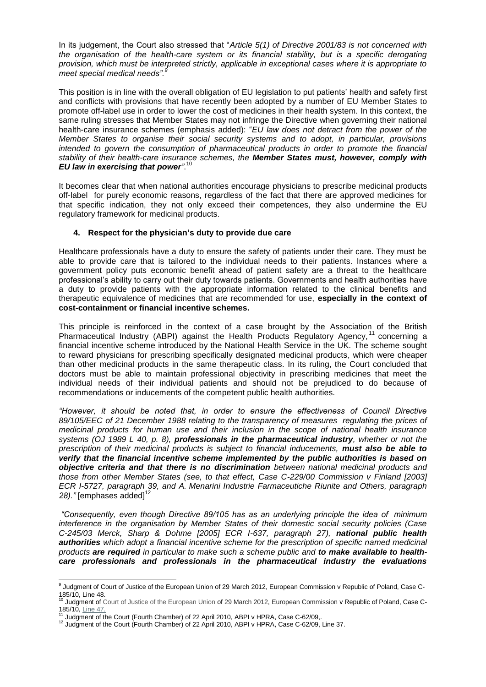In its judgement, the Court also stressed that "*Article 5(1) of Directive 2001/83 is not concerned with the organisation of the health-care system or its financial stability, but is a specific derogating provision, which must be interpreted strictly, applicable in exceptional cases where it is appropriate to meet special medical needs".<sup>9</sup>*

This position is in line with the overall obligation of EU legislation to put patients' health and safety first and conflicts with provisions that have recently been adopted by a number of EU Member States to promote off-label use in order to lower the cost of medicines in their health system. In this context, the same ruling stresses that Member States may not infringe the Directive when governing their national health-care insurance schemes (emphasis added): "*EU law does not detract from the power of the Member States to organise their social security systems and to adopt, in particular, provisions intended to govern the consumption of pharmaceutical products in order to promote the financial stability of their health-care insurance schemes, the Member States must, however, comply with EU law in exercising that power"*. 10

It becomes clear that when national authorities encourage physicians to prescribe medicinal products off-label for purely economic reasons, regardless of the fact that there are approved medicines for that specific indication, they not only exceed their competences, they also undermine the EU regulatory framework for medicinal products.

## **4. Respect for the physician's duty to provide due care**

Healthcare professionals have a duty to ensure the safety of patients under their care. They must be able to provide care that is tailored to the individual needs to their patients. Instances where a government policy puts economic benefit ahead of patient safety are a threat to the healthcare professional's ability to carry out their duty towards patients. Governments and health authorities have a duty to provide patients with the appropriate information related to the clinical benefits and therapeutic equivalence of medicines that are recommended for use, **especially in the context of cost-containment or financial incentive schemes.** 

This principle is reinforced in the context of a case brought by the Association of the British Pharmaceutical Industry (ABPI) against the Health Products Regulatory Agency,<sup>11</sup> concerning a financial incentive scheme introduced by the National Health Service in the UK. The scheme sought to reward physicians for prescribing specifically designated medicinal products, which were cheaper than other medicinal products in the same therapeutic class. In its ruling, the Court concluded that doctors must be able to maintain professional objectivity in prescribing medicines that meet the individual needs of their individual patients and should not be prejudiced to do because of recommendations or inducements of the competent public health authorities.

*"However, it should be noted that, in order to ensure the effectiveness of Council Directive 89/105/EEC of 21 December 1988 relating to the transparency of measures regulating the prices of medicinal products for human use and their inclusion in the scope of national health insurance systems (OJ 1989 L 40, p. 8), professionals in the pharmaceutical industry, whether or not the prescription of their medicinal products is subject to financial inducements, must also be able to verify that the financial incentive scheme implemented by the public authorities is based on objective criteria and that there is no discrimination between national medicinal products and those from other Member States (see, to that effect, Case C-229/00 Commission v Finland [2003] ECR I-5727, paragraph 39, and A. Menarini Industrie Farmaceutiche Riunite and Others, paragraph*  28)." [emphases added]<sup>12</sup>

*"Consequently, even though Directive 89/105 has as an underlying principle the idea of minimum interference in the organisation by Member States of their domestic social security policies (Case C-245/03 Merck, Sharp & Dohme [2005] ECR I-637, paragraph 27), national public health authorities which adopt a financial incentive scheme for the prescription of specific named medicinal products are required in particular to make such a scheme public and to make available to healthcare professionals and professionals in the pharmaceutical industry the evaluations* 

 9 Judgment of Court of Justice of the European Union of 29 March 2012, European Commission v Republic of Poland, Case C-185/10, Line 48.

<sup>10</sup> Judgment of Court of Justice of the European Union of 29 March 2012, European Commission v Republic of Poland, Case C-185/10, Line 47.<br><sup>11</sup> Judgment of the Court (Fourth Chamber) of 22 April 2010, ABPI v HPRA, Case C-62/09,.

<sup>&</sup>lt;sup>12</sup> Judgment of the Court (Fourth Chamber) of 22 April 2010, ABPI v HPRA, Case C-62/09, Line 37.